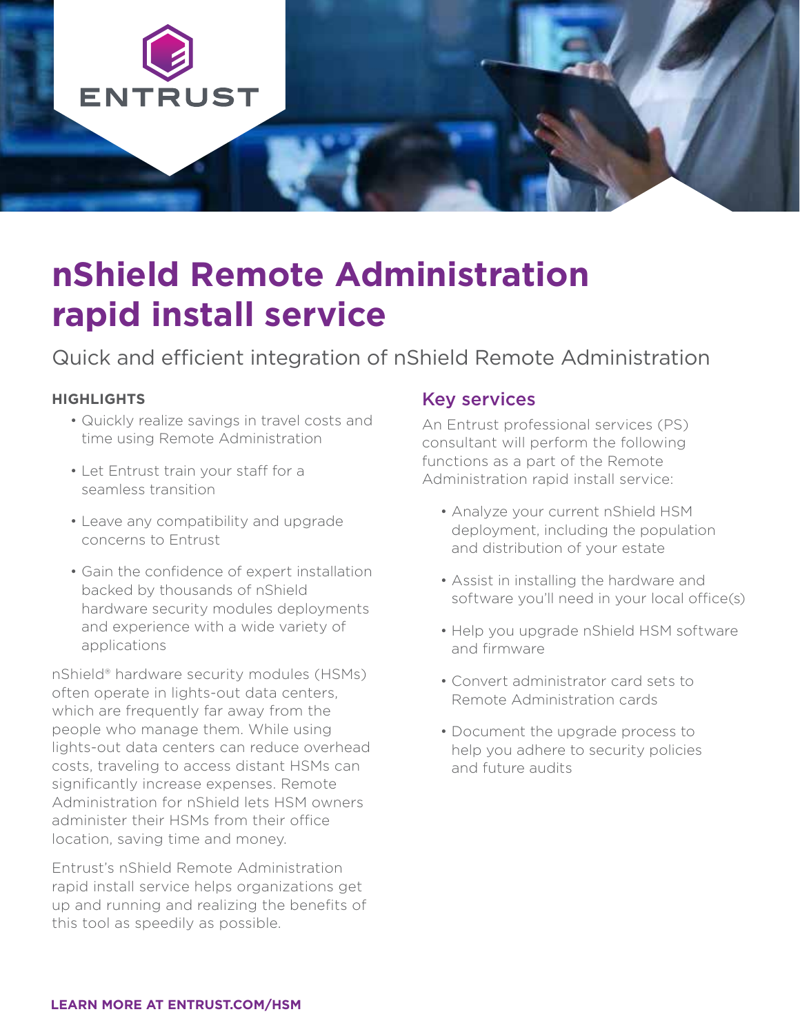

# **nShield Remote Administration rapid install service**

## Quick and efficient integration of nShield Remote Administration

#### **HIGHLIGHTS**

- Quickly realize savings in travel costs and time using Remote Administration
- Let Entrust train your staff for a seamless transition
- Leave any compatibility and upgrade concerns to Entrust
- Gain the confidence of expert installation backed by thousands of nShield hardware security modules deployments and experience with a wide variety of applications

nShield® hardware security modules (HSMs) often operate in lights-out data centers, which are frequently far away from the people who manage them. While using lights-out data centers can reduce overhead costs, traveling to access distant HSMs can significantly increase expenses. Remote Administration for nShield lets HSM owners administer their HSMs from their office location, saving time and money.

Entrust's nShield Remote Administration rapid install service helps organizations get up and running and realizing the benefits of this tool as speedily as possible.

#### Key services

An Entrust professional services (PS) consultant will perform the following functions as a part of the Remote Administration rapid install service:

- Analyze your current nShield HSM deployment, including the population and distribution of your estate
- Assist in installing the hardware and software you'll need in your local office(s)
- Help you upgrade nShield HSM software and firmware
- Convert administrator card sets to Remote Administration cards
- Document the upgrade process to help you adhere to security policies and future audits